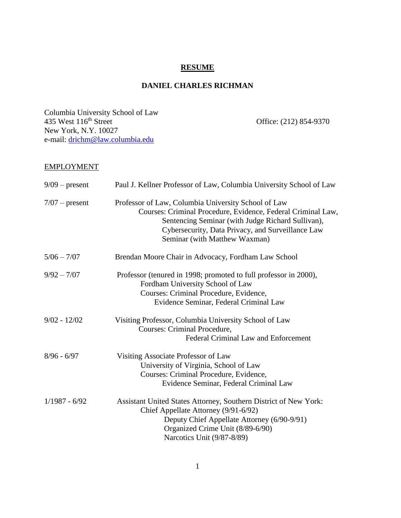#### **RESUME**

## **DANIEL CHARLES RICHMAN**

Columbia University School of Law 435 West 116<sup>th</sup> Street **Office:** (212) 854-9370 New York, N.Y. 10027 e-mail: [drichm@law.columbia.edu](mailto:drichm@law.columbia.edu)

# EMPLOYMENT

| $9/09$ – present | Paul J. Kellner Professor of Law, Columbia University School of Law                                                                                                                                                                                            |
|------------------|----------------------------------------------------------------------------------------------------------------------------------------------------------------------------------------------------------------------------------------------------------------|
| $7/07$ – present | Professor of Law, Columbia University School of Law<br>Courses: Criminal Procedure, Evidence, Federal Criminal Law,<br>Sentencing Seminar (with Judge Richard Sullivan),<br>Cybersecurity, Data Privacy, and Surveillance Law<br>Seminar (with Matthew Waxman) |
| $5/06 - 7/07$    | Brendan Moore Chair in Advocacy, Fordham Law School                                                                                                                                                                                                            |
| $9/92 - 7/07$    | Professor (tenured in 1998; promoted to full professor in 2000),<br>Fordham University School of Law<br>Courses: Criminal Procedure, Evidence,<br>Evidence Seminar, Federal Criminal Law                                                                       |
| $9/02 - 12/02$   | Visiting Professor, Columbia University School of Law<br>Courses: Criminal Procedure,<br>Federal Criminal Law and Enforcement                                                                                                                                  |
| $8/96 - 6/97$    | Visiting Associate Professor of Law<br>University of Virginia, School of Law<br>Courses: Criminal Procedure, Evidence,<br>Evidence Seminar, Federal Criminal Law                                                                                               |
| $1/1987 - 6/92$  | Assistant United States Attorney, Southern District of New York:<br>Chief Appellate Attorney (9/91-6/92)<br>Deputy Chief Appellate Attorney (6/90-9/91)<br>Organized Crime Unit (8/89-6/90)<br>Narcotics Unit (9/87-8/89)                                      |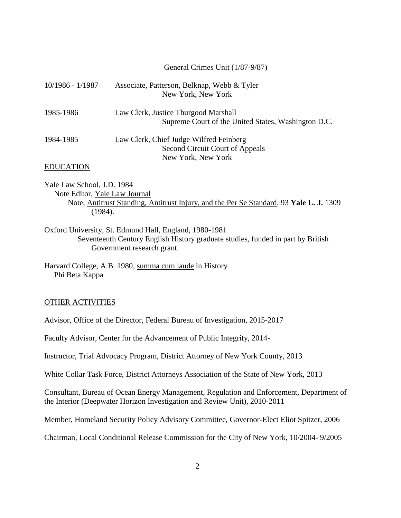|                  | General Crimes Unit (1/87-9/87)                                                                  |
|------------------|--------------------------------------------------------------------------------------------------|
| 10/1986 - 1/1987 | Associate, Patterson, Belknap, Webb & Tyler<br>New York, New York                                |
| 1985-1986        | Law Clerk, Justice Thurgood Marshall<br>Supreme Court of the United States, Washington D.C.      |
| 1984-1985        | Law Clerk, Chief Judge Wilfred Feinberg<br>Second Circuit Court of Appeals<br>New York, New York |
| <b>EDUCATION</b> |                                                                                                  |

- Yale Law School, J.D. 1984 Note Editor, Yale Law Journal Note, Antitrust Standing, Antitrust Injury, and the Per Se Standard, 93 **Yale L. J.** 1309 (1984).
- Oxford University, St. Edmund Hall, England, 1980-1981 Seventeenth Century English History graduate studies, funded in part by British Government research grant.

Harvard College, A.B. 1980, summa cum laude in History Phi Beta Kappa

## OTHER ACTIVITIES

Advisor, Office of the Director, Federal Bureau of Investigation, 2015-2017

Faculty Advisor, Center for the Advancement of Public Integrity, 2014-

Instructor, Trial Advocacy Program, District Attorney of New York County, 2013

White Collar Task Force, District Attorneys Association of the State of New York, 2013

Consultant, Bureau of Ocean Energy Management, Regulation and Enforcement, Department of the Interior (Deepwater Horizon Investigation and Review Unit), 2010-2011

Member, Homeland Security Policy Advisory Committee, Governor-Elect Eliot Spitzer, 2006

Chairman, Local Conditional Release Commission for the City of New York, 10/2004- 9/2005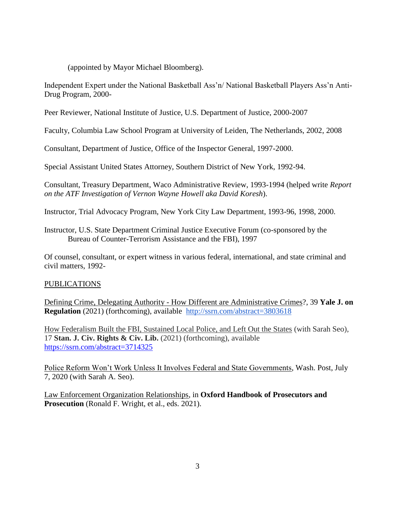(appointed by Mayor Michael Bloomberg).

Independent Expert under the National Basketball Ass'n/ National Basketball Players Ass'n Anti-Drug Program, 2000-

Peer Reviewer, National Institute of Justice, U.S. Department of Justice, 2000-2007

Faculty, Columbia Law School Program at University of Leiden, The Netherlands, 2002, 2008

Consultant, Department of Justice, Office of the Inspector General, 1997-2000.

Special Assistant United States Attorney, Southern District of New York, 1992-94.

Consultant, Treasury Department, Waco Administrative Review, 1993-1994 (helped write *Report on the ATF Investigation of Vernon Wayne Howell aka David Koresh*).

Instructor, Trial Advocacy Program, New York City Law Department, 1993-96, 1998, 2000.

Instructor, U.S. State Department Criminal Justice Executive Forum (co-sponsored by the Bureau of Counter-Terrorism Assistance and the FBI), 1997

Of counsel, consultant, or expert witness in various federal, international, and state criminal and civil matters, 1992-

## PUBLICATIONS

Defining Crime, Delegating Authority - How Different are Administrative Crimes?, 39 **Yale J. on Regulation** (2021) (forthcoming), available <http://ssrn.com/abstract=3803618>

How Federalism Built the FBI, Sustained Local Police, and Left Out the States (with Sarah Seo), 17 **Stan. J. Civ. Rights & Civ. Lib.** (2021) (forthcoming), available <https://ssrn.com/abstract=3714325>

Police Reform Won't Work Unless It Involves Federal and State Governments, Wash. Post, July 7, 2020 (with Sarah A. Seo).

Law Enforcement Organization Relationships, in **Oxford Handbook of Prosecutors and Prosecution** (Ronald F. Wright, et al., eds. 2021).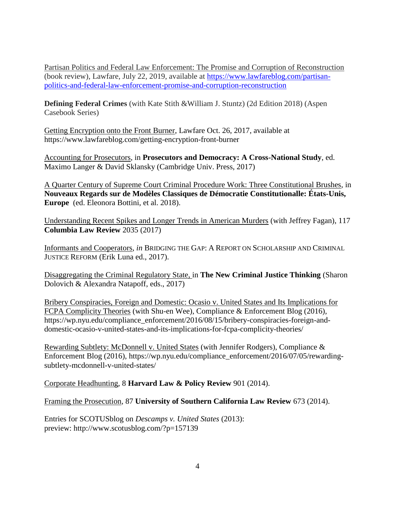Partisan Politics and Federal Law Enforcement: The Promise and Corruption of Reconstruction (book review), Lawfare, July 22, 2019, available at [https://www.lawfareblog.com/partisan](https://www.lawfareblog.com/partisan-politics-and-federal-law-enforcement-promise-and-corruption-reconstruction)[politics-and-federal-law-enforcement-promise-and-corruption-reconstruction](https://www.lawfareblog.com/partisan-politics-and-federal-law-enforcement-promise-and-corruption-reconstruction)

**Defining Federal Crimes** (with Kate Stith &William J. Stuntz) (2d Edition 2018) (Aspen Casebook Series)

Getting Encryption onto the Front Burner, Lawfare Oct. 26, 2017, available at https://www.lawfareblog.com/getting-encryption-front-burner

Accounting for Prosecutors, in **Prosecutors and Democracy: A Cross-National Study**, ed. Maximo Langer & David Sklansky (Cambridge Univ. Press, 2017)

A Quarter Century of Supreme Court Criminal Procedure Work: Three Constitutional Brushes, in **Nouveaux Regards sur de Modèles Classiques de Démocratie Constitutionalle: États-Unis, Europe** (ed. Eleonora Bottini, et al. 2018).

Understanding Recent Spikes and Longer Trends in American Murders (with Jeffrey Fagan), 117 **Columbia Law Review** 2035 (2017)

Informants and Cooperators, *in* BRIDGING THE GAP: A REPORT ON SCHOLARSHIP AND CRIMINAL JUSTICE REFORM (Erik Luna ed., 2017).

Disaggregating the Criminal Regulatory State, in **The New Criminal Justice Thinking** (Sharon Dolovich & Alexandra Natapoff, eds., 2017)

Bribery Conspiracies, Foreign and Domestic: Ocasio v. United States and Its Implications for FCPA Complicity Theories (with Shu-en Wee), Compliance & Enforcement Blog (2016), [https://wp.nyu.edu/compliance\\_enforcement/2016/08/15/bribery-conspiracies-foreign-and](https://wp.nyu.edu/compliance_enforcement/2016/08/15/bribery-conspiracies-foreign-and-domestic-ocasio-v-united-states-and-its-implications-for-fcpa-complicity-theories/)[domestic-ocasio-v-united-states-and-its-implications-for-fcpa-complicity-theories/](https://wp.nyu.edu/compliance_enforcement/2016/08/15/bribery-conspiracies-foreign-and-domestic-ocasio-v-united-states-and-its-implications-for-fcpa-complicity-theories/)

Rewarding Subtlety: McDonnell v. United States (with Jennifer Rodgers), Compliance & Enforcement Blog (2016), https://wp.nyu.edu/compliance\_enforcement/2016/07/05/rewardingsubtlety-mcdonnell-v-united-states/

Corporate Headhunting, 8 **Harvard Law & Policy Review** 901 (2014).

Framing the Prosecution, 87 **University of Southern California Law Review** 673 (2014).

Entries for SCOTUSblog on *Descamps v. United States* (2013): preview: http://www.scotusblog.com/?p=157139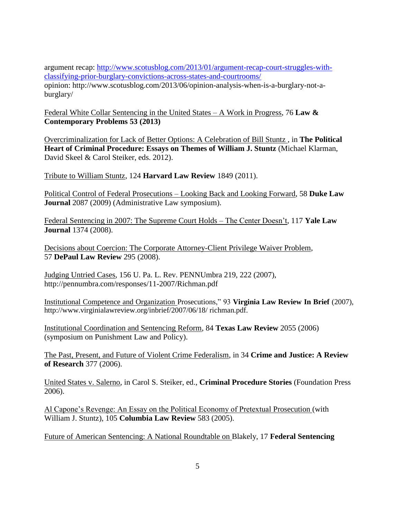argument recap: [http://www.scotusblog.com/2013/01/argument-recap-court-struggles-with](http://www.scotusblog.com/2013/01/argument-recap-court-struggles-with-classifying-prior-burglary-convictions-across-states-and-courtrooms/)[classifying-prior-burglary-convictions-across-states-and-courtrooms/](http://www.scotusblog.com/2013/01/argument-recap-court-struggles-with-classifying-prior-burglary-convictions-across-states-and-courtrooms/) opinion: http://www.scotusblog.com/2013/06/opinion-analysis-when-is-a-burglary-not-aburglary/

Federal White Collar Sentencing in the United States – A Work in Progress, 76 **Law & Contemporary Problems 53 (2013)**

Overcriminalization for Lack of Better Options: A Celebration of Bill Stuntz , in **The Political Heart of Criminal Procedure: Essays on Themes of William J. Stuntz** (Michael Klarman, David Skeel & Carol Steiker, eds. 2012).

Tribute to William Stuntz, 124 **Harvard Law Review** 1849 (2011).

Political Control of Federal Prosecutions – Looking Back and Looking Forward, 58 **Duke Law Journal** 2087 (2009) (Administrative Law symposium).

Federal Sentencing in 2007: The Supreme Court Holds – The Center Doesn't, 117 **Yale Law Journal** 1374 (2008).

Decisions about Coercion: The Corporate Attorney-Client Privilege Waiver Problem, 57 **DePaul Law Review** 295 (2008).

Judging Untried Cases, 156 U. Pa. L. Rev. PENNUmbra 219, 222 (2007), http://pennumbra.com/responses/11-2007/Richman.pdf

Institutional Competence and Organization Prosecutions," 93 **Virginia Law Review In Brief** (2007), http://www.virginialawreview.org/inbrief/2007/06/18/ richman.pdf.

Institutional Coordination and Sentencing Reform, 84 **Texas Law Review** 2055 (2006) (symposium on Punishment Law and Policy).

The Past, Present, and Future of Violent Crime Federalism, in 34 **Crime and Justice: A Review of Research** 377 (2006).

United States v. Salerno, in Carol S. Steiker, ed., **Criminal Procedure Stories** (Foundation Press 2006).

Al Capone's Revenge: An Essay on the Political Economy of Pretextual Prosecution (with William J. Stuntz), 105 **Columbia Law Review** 583 (2005).

Future of American Sentencing: A National Roundtable on Blakely, 17 **Federal Sentencing**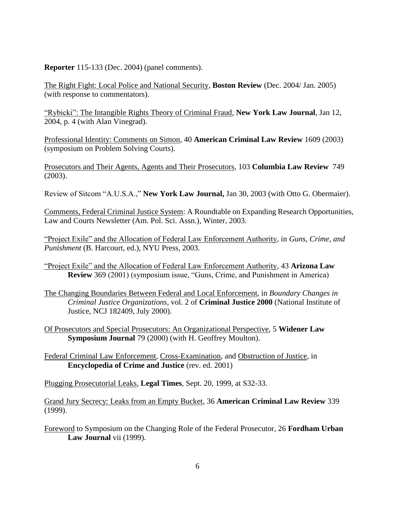**Reporter** 115-133 (Dec. 2004) (panel comments).

The Right Fight: Local Police and National Security, **Boston Review** (Dec. 2004/ Jan. 2005) (with response to commentators).

"Rybicki": The Intangible Rights Theory of Criminal Fraud, **New York Law Journal**, Jan 12, 2004, p. 4 (with Alan Vinegrad).

Professional Identity: Comments on Simon, 40 **American Criminal Law Review** 1609 (2003) (symposium on Problem Solving Courts).

Prosecutors and Their Agents, Agents and Their Prosecutors, 103 **Columbia Law Review** 749 (2003).

Review of Sitcom "A.U.S.A.," **New York Law Journal,** Jan 30, 2003 (with Otto G. Obermaier).

Comments, Federal Criminal Justice System: A Roundtable on Expanding Research Opportunities, Law and Courts Newsletter (Am. Pol. Sci. Assn.), Winter, 2003.

"Project Exile" and the Allocation of Federal Law Enforcement Authority, in *Guns, Crime, and Punishment* (B. Harcourt, ed.), NYU Press, 2003.

"Project Exile" and the Allocation of Federal Law Enforcement Authority, 43 **Arizona Law Review** 369 (2001) (symposium issue, "Guns, Crime, and Punishment in America)

- The Changing Boundaries Between Federal and Local Enforcement, in *Boundary Changes in Criminal Justice Organizations*, vol. 2 of **Criminal Justice 2000** (National Institute of Justice, NCJ 182409, July 2000).
- Of Prosecutors and Special Prosecutors: An Organizational Perspective, 5 **Widener Law Symposium Journal** 79 (2000) (with H. Geoffrey Moulton).

Federal Criminal Law Enforcement, Cross-Examination, and Obstruction of Justice, in **Encyclopedia of Crime and Justice** (rev. ed. 2001)

Plugging Prosecutorial Leaks, **Legal Times**, Sept. 20, 1999, at S32-33.

Grand Jury Secrecy: Leaks from an Empty Bucket, 36 **American Criminal Law Review** 339 (1999).

Foreword to Symposium on the Changing Role of the Federal Prosecutor, 26 **Fordham Urban Law Journal** vii (1999).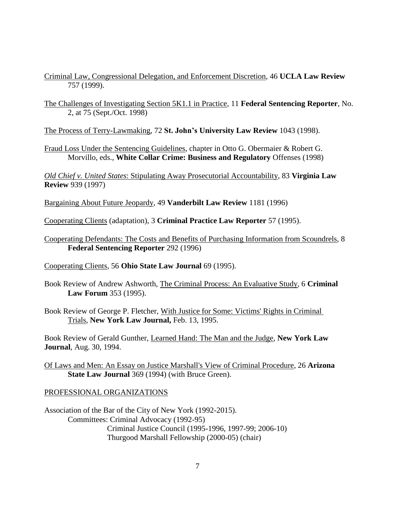- Criminal Law, Congressional Delegation, and Enforcement Discretion, 46 **UCLA Law Review** 757 (1999).
- The Challenges of Investigating Section 5K1.1 in Practice, 11 **Federal Sentencing Reporter**, No. 2, at 75 (Sept./Oct. 1998)
- The Process of Terry-Lawmaking, 72 **St. John's University Law Review** 1043 (1998).
- Fraud Loss Under the Sentencing Guidelines, chapter in Otto G. Obermaier & Robert G. Morvillo, eds., **White Collar Crime: Business and Regulatory** Offenses (1998)

*Old Chief v. United States*: Stipulating Away Prosecutorial Accountability, 83 **Virginia Law Review** 939 (1997)

Bargaining About Future Jeopardy, 49 **Vanderbilt Law Review** 1181 (1996)

Cooperating Clients (adaptation), 3 **Criminal Practice Law Reporter** 57 (1995).

Cooperating Defendants: The Costs and Benefits of Purchasing Information from Scoundrels, 8 **Federal Sentencing Reporter** 292 (1996)

Cooperating Clients, 56 **Ohio State Law Journal** 69 (1995).

Book Review of Andrew Ashworth, The Criminal Process: An Evaluative Study, 6 **Criminal Law Forum** 353 (1995).

Book Review of George P. Fletcher, With Justice for Some: Victims' Rights in Criminal Trials, **New York Law Journal,** Feb. 13, 1995.

Book Review of Gerald Gunther, Learned Hand: The Man and the Judge, **New York Law Journal**, Aug. 30, 1994.

Of Laws and Men: An Essay on Justice Marshall's View of Criminal Procedure, 26 **Arizona State Law Journal** 369 (1994) (with Bruce Green).

PROFESSIONAL ORGANIZATIONS

Association of the Bar of the City of New York (1992-2015). Committees: Criminal Advocacy (1992-95) Criminal Justice Council (1995-1996, 1997-99; 2006-10) Thurgood Marshall Fellowship (2000-05) (chair)